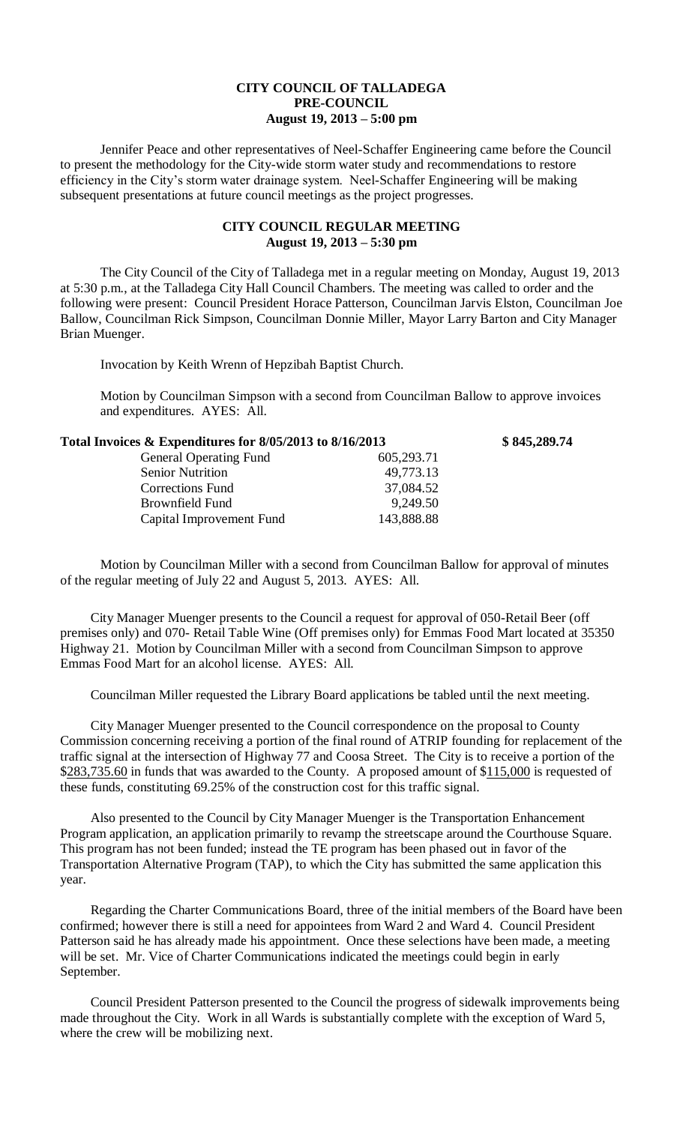## **CITY COUNCIL OF TALLADEGA PRE-COUNCIL August 19, 2013 – 5:00 pm**

Jennifer Peace and other representatives of Neel-Schaffer Engineering came before the Council to present the methodology for the City-wide storm water study and recommendations to restore efficiency in the City's storm water drainage system. Neel-Schaffer Engineering will be making subsequent presentations at future council meetings as the project progresses.

## **CITY COUNCIL REGULAR MEETING August 19, 2013 – 5:30 pm**

The City Council of the City of Talladega met in a regular meeting on Monday, August 19, 2013 at 5:30 p.m., at the Talladega City Hall Council Chambers. The meeting was called to order and the following were present: Council President Horace Patterson, Councilman Jarvis Elston, Councilman Joe Ballow, Councilman Rick Simpson, Councilman Donnie Miller, Mayor Larry Barton and City Manager Brian Muenger.

Invocation by Keith Wrenn of Hepzibah Baptist Church.

Motion by Councilman Simpson with a second from Councilman Ballow to approve invoices and expenditures. AYES: All.

| Total Invoices & Expenditures for 8/05/2013 to 8/16/2013 |            | \$845,289.74 |
|----------------------------------------------------------|------------|--------------|
| <b>General Operating Fund</b>                            | 605,293.71 |              |
| <b>Senior Nutrition</b>                                  | 49,773.13  |              |
| <b>Corrections Fund</b>                                  | 37,084.52  |              |
| Brownfield Fund                                          | 9,249.50   |              |
| Capital Improvement Fund                                 | 143,888.88 |              |

Motion by Councilman Miller with a second from Councilman Ballow for approval of minutes of the regular meeting of July 22 and August 5, 2013. AYES: All.

City Manager Muenger presents to the Council a request for approval of 050-Retail Beer (off premises only) and 070- Retail Table Wine (Off premises only) for Emmas Food Mart located at 35350 Highway 21. Motion by Councilman Miller with a second from Councilman Simpson to approve Emmas Food Mart for an alcohol license. AYES: All.

Councilman Miller requested the Library Board applications be tabled until the next meeting.

City Manager Muenger presented to the Council correspondence on the proposal to County Commission concerning receiving a portion of the final round of ATRIP founding for replacement of the traffic signal at the intersection of Highway 77 and Coosa Street. The City is to receive a portion of the \$283,735.60 in funds that was awarded to the County. A proposed amount of \$115,000 is requested of these funds, constituting 69.25% of the construction cost for this traffic signal.

Also presented to the Council by City Manager Muenger is the Transportation Enhancement Program application, an application primarily to revamp the streetscape around the Courthouse Square. This program has not been funded; instead the TE program has been phased out in favor of the Transportation Alternative Program (TAP), to which the City has submitted the same application this year.

Regarding the Charter Communications Board, three of the initial members of the Board have been confirmed; however there is still a need for appointees from Ward 2 and Ward 4. Council President Patterson said he has already made his appointment. Once these selections have been made, a meeting will be set. Mr. Vice of Charter Communications indicated the meetings could begin in early September.

Council President Patterson presented to the Council the progress of sidewalk improvements being made throughout the City. Work in all Wards is substantially complete with the exception of Ward 5, where the crew will be mobilizing next.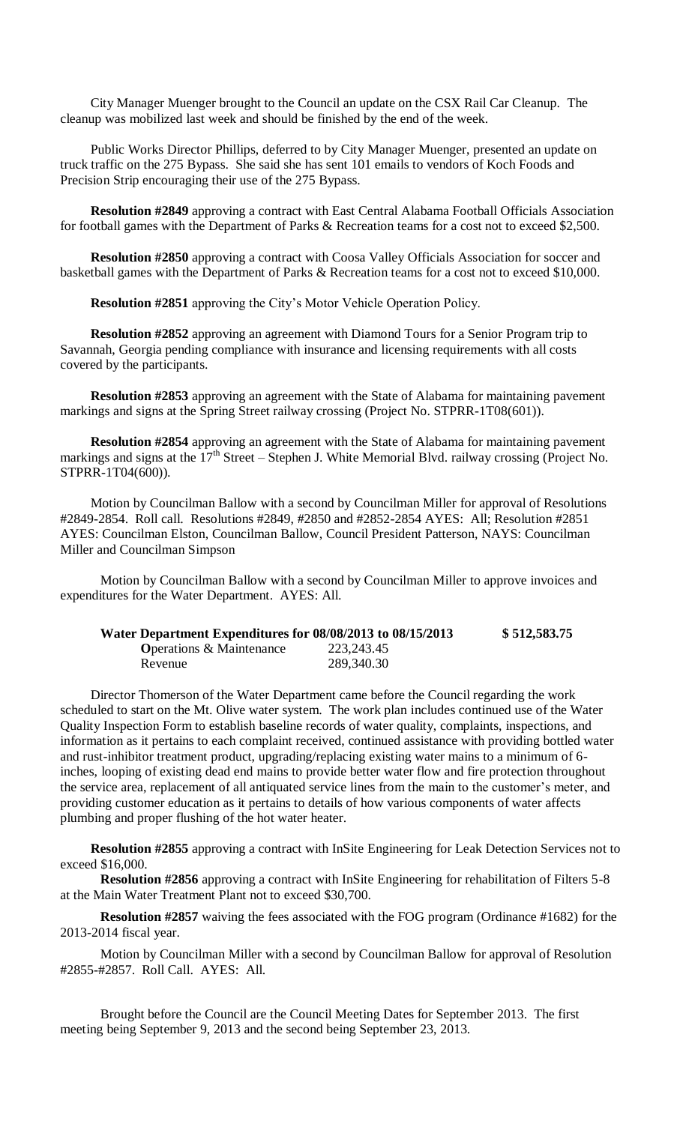City Manager Muenger brought to the Council an update on the CSX Rail Car Cleanup. The cleanup was mobilized last week and should be finished by the end of the week.

Public Works Director Phillips, deferred to by City Manager Muenger, presented an update on truck traffic on the 275 Bypass. She said she has sent 101 emails to vendors of Koch Foods and Precision Strip encouraging their use of the 275 Bypass.

**Resolution #2849** approving a contract with East Central Alabama Football Officials Association for football games with the Department of Parks & Recreation teams for a cost not to exceed \$2,500.

**Resolution #2850** approving a contract with Coosa Valley Officials Association for soccer and basketball games with the Department of Parks & Recreation teams for a cost not to exceed \$10,000.

**Resolution #2851** approving the City's Motor Vehicle Operation Policy.

**Resolution #2852** approving an agreement with Diamond Tours for a Senior Program trip to Savannah, Georgia pending compliance with insurance and licensing requirements with all costs covered by the participants.

**Resolution #2853** approving an agreement with the State of Alabama for maintaining pavement markings and signs at the Spring Street railway crossing (Project No. STPRR-1T08(601)).

**Resolution #2854** approving an agreement with the State of Alabama for maintaining pavement markings and signs at the  $17<sup>th</sup>$  Street – Stephen J. White Memorial Blvd. railway crossing (Project No. STPRR-1T04(600)).

Motion by Councilman Ballow with a second by Councilman Miller for approval of Resolutions #2849-2854. Roll call. Resolutions #2849, #2850 and #2852-2854 AYES: All; Resolution #2851 AYES: Councilman Elston, Councilman Ballow, Council President Patterson, NAYS: Councilman Miller and Councilman Simpson

Motion by Councilman Ballow with a second by Councilman Miller to approve invoices and expenditures for the Water Department. AYES: All.

| Water Department Expenditures for 08/08/2013 to 08/15/2013 |              | \$512,583.75 |
|------------------------------------------------------------|--------------|--------------|
| <b>O</b> perations & Maintenance                           | 223, 243. 45 |              |
| Revenue                                                    | 289,340.30   |              |

Director Thomerson of the Water Department came before the Council regarding the work scheduled to start on the Mt. Olive water system. The work plan includes continued use of the Water Quality Inspection Form to establish baseline records of water quality, complaints, inspections, and information as it pertains to each complaint received, continued assistance with providing bottled water and rust-inhibitor treatment product, upgrading/replacing existing water mains to a minimum of 6 inches, looping of existing dead end mains to provide better water flow and fire protection throughout the service area, replacement of all antiquated service lines from the main to the customer's meter, and providing customer education as it pertains to details of how various components of water affects plumbing and proper flushing of the hot water heater.

**Resolution #2855** approving a contract with InSite Engineering for Leak Detection Services not to exceed \$16,000.

**Resolution #2856** approving a contract with InSite Engineering for rehabilitation of Filters 5-8 at the Main Water Treatment Plant not to exceed \$30,700.

**Resolution #2857** waiving the fees associated with the FOG program (Ordinance #1682) for the 2013-2014 fiscal year.

Motion by Councilman Miller with a second by Councilman Ballow for approval of Resolution #2855-#2857. Roll Call. AYES: All.

Brought before the Council are the Council Meeting Dates for September 2013. The first meeting being September 9, 2013 and the second being September 23, 2013.